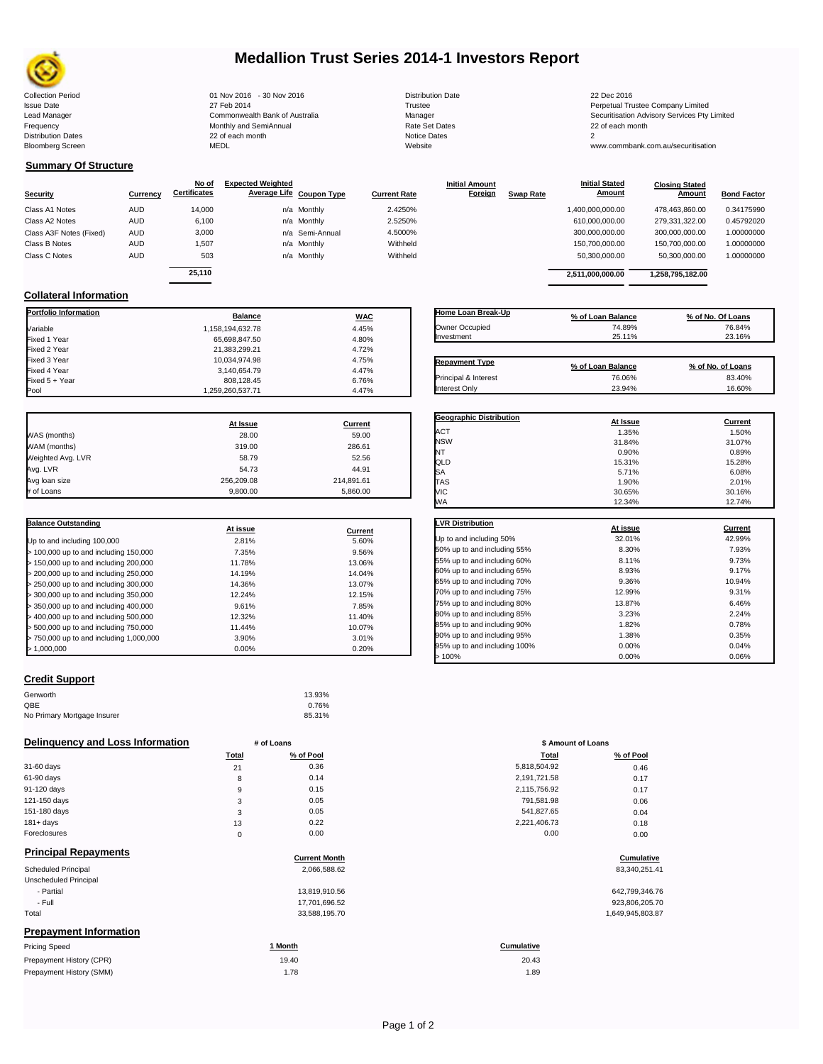

# **Medallion Trust Series 2014-1 Investors Report**

| <b>Collection Period</b>  | 01 Nov 2016 - 30 Nov 2016      | <b>Distribution Date</b> | 22 Dec 2016    |
|---------------------------|--------------------------------|--------------------------|----------------|
| <b>Issue Date</b>         | 27 Feb 2014                    | Trustee                  | Perpetual Tru  |
| Lead Manager              | Commonwealth Bank of Australia | Manager                  | Securitisation |
| Frequency                 | Monthly and SemiAnnual         | Rate Set Dates           | 22 of each m   |
| <b>Distribution Dates</b> | 22 of each month               | Notice Dates             |                |
| <b>Bloomberg Screen</b>   | MEDL                           | Website                  | www.commb      |

Frequency 22 of each month Monthly and SemiAnnual Rate Set Dates 22 of each month 22 of each month 22 of each month<br>Distribution Dates 22 of each month 22 of each month 20 of each month and the Set Dates 20 month 2 Bloomberg Screen MEDL Website www.commbank.com.au/securitisation

3,140,654.79 4.47%<br>808,128.45 6.76%

| <b>Distribution Date</b> |
|--------------------------|
| Trustee                  |
| Manager                  |
| Rate Set Dates           |
| Notice Dates             |
| Website                  |
|                          |

Issue Date 27 Feb 2014 27 Feb 2014<br>Lead Manager Commonwealth Bank of Australia Manager Manager Securitisation Advisory Services Pty Limited

**Closing Stated Amount**

### **Summary Of Structure**

**Collateral Information**

|                         |            | No of               | <b>Expected Weighted</b> |              | <b>Initial Amount</b> |                  | <b>Initial Stated</b> | <b>Closing Stated</b> |                    |
|-------------------------|------------|---------------------|--------------------------|--------------|-----------------------|------------------|-----------------------|-----------------------|--------------------|
| Security                | Currency   | <b>Certificates</b> | Average Life Coupon Type | Current Rate | Foreign               | <b>Swap Rate</b> | <b>Amount</b>         | Amount                | <b>Bond Factor</b> |
| Class A1 Notes          | <b>AUD</b> | 14.000              | n/a Monthly              | 2.4250%      |                       |                  | 1,400,000,000.00      | 478.463.860.00        | 0.34175990         |
| Class A2 Notes          | <b>AUD</b> | 6,100               | n/a Monthly              | 2.5250%      |                       |                  | 610,000,000.00        | 279,331,322.00        | 0.45792020         |
| Class A3F Notes (Fixed) | AUD        | 3,000               | n/a Semi-Annual          | 4.5000%      |                       |                  | 300,000,000.00        | 300,000,000.00        | 1.00000000         |
| Class B Notes           | AUD        | 1.507               | n/a Monthly              | Withheld     |                       |                  | 150,700,000.00        | 150.700.000.00        | 1.00000000         |
| Class C Notes           | AUD        | 503                 | n/a Monthly              | Withheld     |                       |                  | 50,300,000.00         | 50,300,000.00         | 1.00000000         |
|                         |            | 25.110              |                          |              |                       |                  | 2.511.000.000.00      | 1.258.795.182.00      |                    |

**Portfolio Information Balance WAC** Variable 1,158,194,632.78 4.45% Fixed 1 Year 65,698,847.50 4.80% Fixed 2 Year 21,383,299.21 4.72% Fixed 3 Year 10,034,974.98 4.75% 4.75% 4.75% 4.75% 4.75% 4.75% 4.75% 4.75% 4.75% 4.75% 4.75% 4.75% 4.75% 4.75%

Fixed 5 + Year 6.76% 6.76% 6.76% 6.76% 6.76% 6.76% 6.76% 6.76% 6.76% 6.76% 6.76% 6.76% 6.76% 6.76% 6.76% 6.76% 6.76% 6.76% 6.76% 6.76% 6.76% 6.76% 6.76% 6.76% 6.76% 6.76% 6.76% 6.76% 6.76% 6.76% 6.76% 6.76% 6.76% 6.76% 6.7

1,259,260,537.71

| Home Loan Break-Up<br>Owner Occupied<br>Investment | % of Loan Balance<br>74.89%<br>25.11% | % of No. Of Loans<br>76.84%<br>23.16% |
|----------------------------------------------------|---------------------------------------|---------------------------------------|
|                                                    |                                       |                                       |
| <b>Repayment Type</b>                              | % of Loan Balance                     | % of No. of Loans                     |
| Principal & Interest                               | 76.06%                                | 83.40%                                |

**Initial Stated** 

| At Issue   | <b>Current</b> |
|------------|----------------|
| 28.00      | 59.00          |
| 319.00     | 286.61         |
| 58.79      | 52.56          |
| 54.73      | 44.91          |
| 256.209.08 | 214,891.61     |
| 9,800.00   | 5,860.00       |
|            |                |

| <b>Balance Outstanding</b>                | At issue | Current |
|-------------------------------------------|----------|---------|
| Up to and including 100,000               | 2.81%    | 5.60%   |
| $>$ 100,000 up to and including 150,000   | 7.35%    | 9.56%   |
| $>$ 150,000 up to and including 200,000   | 11.78%   | 13.06%  |
| > 200,000 up to and including 250,000     | 14.19%   | 14.04%  |
| > 250,000 up to and including 300,000     | 14.36%   | 13.07%  |
| $>$ 300,000 up to and including 350,000   | 12.24%   | 12.15%  |
| > 350,000 up to and including 400,000     | 9.61%    | 7.85%   |
| $>$ 400,000 up to and including 500,000   | 12.32%   | 11.40%  |
| > 500,000 up to and including 750,000     | 11.44%   | 10.07%  |
| $> 750.000$ up to and including 1,000,000 | 3.90%    | 3.01%   |
| > 1.000.000                               | $0.00\%$ | 0.20%   |

### **Credit Support**

| Genworth                    | 13.93% |
|-----------------------------|--------|
| QBE                         | 0.76%  |
| No Primary Mortgage Insurer | 85.31% |

### **Delinquency and Loss Information # of Loans**

|              | Total | % of Pool | Total        | % of Pool |
|--------------|-------|-----------|--------------|-----------|
| 31-60 days   | 21    | 0.36      | 5,818,504.92 | 0.46      |
| 61-90 days   | 8     | 0.14      | 2,191,721.58 | 0.17      |
| 91-120 days  | 9     | 0.15      | 2,115,756.92 | 0.17      |
| 121-150 days | 3     | 0.05      | 791,581.98   | 0.06      |
| 151-180 days | 3     | 0.05      | 541,827.65   | 0.04      |
| $181 + days$ | 13    | 0.22      | 2,221,406.73 | 0.18      |
| Foreclosures | 0     | 0.00      | 0.00         | 0.00      |
|              |       |           |              |           |

### **Principal Repayments**

Prepayment History (SMM)

| <b>Principal Repayments</b>   | <b>Current Month</b> | Cumulative        |
|-------------------------------|----------------------|-------------------|
| Scheduled Principal           | 2,066,588.62         | 83,340,251.41     |
| Unscheduled Principal         |                      |                   |
| - Partial                     | 13,819,910.56        | 642,799,346.76    |
| - Full                        | 17,701,696.52        | 923,806,205.70    |
| Total                         | 33,588,195.70        | 1,649,945,803.87  |
| <b>Prepayment Information</b> |                      |                   |
| <b>Pricing Speed</b>          | 1 Month              | <b>Cumulative</b> |
| Prepayment History (CPR)      | 19.40                | 20.43             |

|                                | 70.91233112333333 |         |
|--------------------------------|-------------------|---------|
| Principal & Interest           | 76.06%            | 83.40%  |
| Interest Only                  | 23.94%            | 16.60%  |
|                                |                   |         |
| <b>Geographic Distribution</b> | At Issue          | Current |
| <b>ACT</b>                     | 1.35%             | 1.50%   |
| <b>NSW</b>                     | 31.84%            | 31.07%  |
| NT                             | 0.90%             | 0.89%   |
| QLD                            | 15.31%            | 15.28%  |
| <b>SA</b>                      | 5.71%             | 6.08%   |
|                                |                   |         |

TAS 1.90% 2.01% VIC 30.65% 30.16%

| WА                           | 12.34%   | 12.74%  |
|------------------------------|----------|---------|
| <b>LVR Distribution</b>      | At issue | Current |
| Up to and including 50%      | 32.01%   | 42.99%  |
| 50% up to and including 55%  | 8.30%    | 7.93%   |
| 55% up to and including 60%  | 8.11%    | 9.73%   |
| 60% up to and including 65%  | 8.93%    | 9.17%   |
| 65% up to and including 70%  | 9.36%    | 10.94%  |
| 70% up to and including 75%  | 12.99%   | 9.31%   |
| 75% up to and including 80%  | 13.87%   | 6.46%   |
| 80% up to and including 85%  | 3.23%    | 2.24%   |
| 85% up to and including 90%  | 1.82%    | 0.78%   |
| 90% up to and including 95%  | 1.38%    | 0.35%   |
| 95% up to and including 100% | 0.00%    | 0.04%   |
| 100%                         | 0.00%    | 0.06%   |

| # of Loans  |           | \$ Amount of Loans |           |
|-------------|-----------|--------------------|-----------|
| Total       | % of Pool | Total              | % of Pool |
| 21          | 0.36      | 5,818,504.92       | 0.46      |
| 8           | 0.14      | 2,191,721.58       | 0.17      |
| 9           | 0.15      | 2,115,756.92       | 0.17      |
| 3           | 0.05      | 791,581.98         | 0.06      |
| 3           | 0.05      | 541,827.65         | 0.04      |
| 13          | 0.22      | 2,221,406.73       | 0.18      |
| $\mathbf 0$ | 0.00      | 0.00               | 0.00      |

# **Cumulative Cumulative**

| 642,799,346.76   |
|------------------|
| 923,806,205.70   |
| 1.649.945.803.87 |

1.78 1.89 20.43